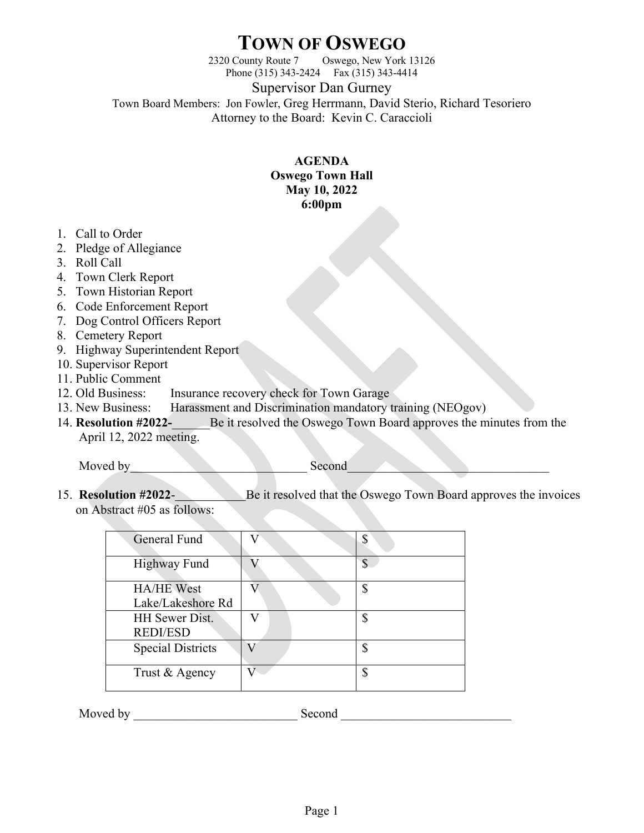## **TOWN OF OSWEGO**

2320 County Route 7 Oswego, New York 13126 Phone (315) 343-2424 Fax (315) 343-4414

Supervisor Dan Gurney

Town Board Members: Jon Fowler, Greg Herrmann, David Sterio, Richard Tesoriero Attorney to the Board: Kevin C. Caraccioli

## **AGENDA Oswego Town Hall May 10, 2022 6:00pm**

- 1. Call to Order
- 2. Pledge of Allegiance
- 3. Roll Call
- 4. Town Clerk Report
- 5. Town Historian Report
- 6. Code Enforcement Report
- 7. Dog Control Officers Report
- 8. Cemetery Report
- 9. Highway Superintendent Report
- 10. Supervisor Report
- 11. Public Comment
- 12. Old Business: Insurance recovery check for Town Garage
- 13. New Business: Harassment and Discrimination mandatory training (NEOgov)
- 14. **Resolution #2022-**\_\_\_\_\_\_Be it resolved the Oswego Town Board approves the minutes from the April 12, 2022 meeting.

Moved by Second

15. **Resolution #2022**- Be it resolved that the Oswego Town Board approves the invoices on Abstract #05 as follows:

| General Fund                           |   |
|----------------------------------------|---|
| <b>Highway Fund</b>                    | ¢ |
| <b>HA/HE West</b><br>Lake/Lakeshore Rd |   |
| HH Sewer Dist.<br><b>REDI/ESD</b>      |   |
| <b>Special Districts</b>               |   |
| Trust & Agency                         |   |

Moved by **Example 18** Second  $\blacksquare$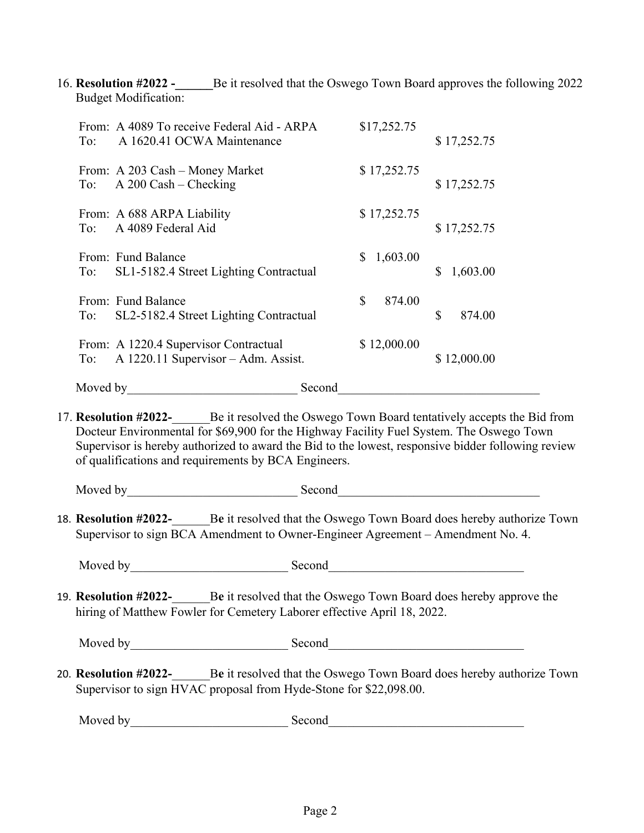16. **Resolution #2022 -** Be it resolved that the Oswego Town Board approves the following 2022 Budget Modification:

| From: A 4089 To receive Federal Aid - ARPA<br>A 1620.41 OCWA Maintenance<br>To:     | \$17,252.75   | \$17,252.75    |
|-------------------------------------------------------------------------------------|---------------|----------------|
| From: A 203 Cash – Money Market<br>$A$ 200 Cash – Checking<br>To:                   | \$17,252.75   | \$17,252.75    |
| From: A 688 ARPA Liability<br>A 4089 Federal Aid<br>To:                             | \$17,252.75   | \$17,252.75    |
| From: Fund Balance<br>To: SL1-5182.4 Street Lighting Contractual                    | 1,603.00<br>S | \$<br>1,603.00 |
| From: Fund Balance<br>SL2-5182.4 Street Lighting Contractual<br>To:                 | \$<br>874.00  | \$<br>874.00   |
| From: A 1220.4 Supervisor Contractual<br>A 1220.11 Supervisor - Adm. Assist.<br>To: | \$12,000.00   | \$12,000.00    |
| Moved by                                                                            | Second        |                |

17. **Resolution #2022-**\_\_\_\_\_\_Be it resolved the Oswego Town Board tentatively accepts the Bid from Docteur Environmental for \$69,900 for the Highway Facility Fuel System. The Oswego Town Supervisor is hereby authorized to award the Bid to the lowest, responsive bidder following review of qualifications and requirements by BCA Engineers.

Moved by Second

18. **Resolution #2022-**\_\_\_\_\_\_B**e** it resolved that the Oswego Town Board does hereby authorize Town Supervisor to sign BCA Amendment to Owner-Engineer Agreement – Amendment No. 4.

Moved by Second

19. **Resolution #2022-**\_\_\_\_\_\_B**e** it resolved that the Oswego Town Board does hereby approve the hiring of Matthew Fowler for Cemetery Laborer effective April 18, 2022.

Moved by Second

20. **Resolution #2022-**\_\_\_\_\_\_B**e** it resolved that the Oswego Town Board does hereby authorize Town Supervisor to sign HVAC proposal from Hyde-Stone for \$22,098.00.

Moved by\_\_\_\_\_\_\_\_\_\_\_\_\_\_\_\_\_\_\_\_\_\_\_\_\_ Second\_\_\_\_\_\_\_\_\_\_\_\_\_\_\_\_\_\_\_\_\_\_\_\_\_\_\_\_\_\_\_